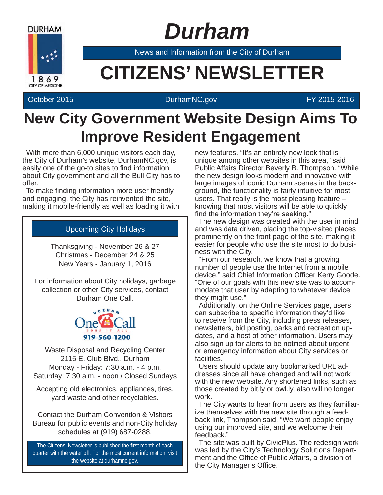

 *Durham*

News and Information from the City of Durham

# **EXAMPLE CITIZENS' NEWSLETTER**

#### October 2015 DurhamNC.gov FY 2015-2016

## **New City Government Website Design Aims To Improve Resident Engagement**

With more than 6,000 unique visitors each day, the City of Durham's website, DurhamNC.gov, is easily one of the go-to sites to find information about City government and all the Bull City has to offer.

To make finding information more user friendly and engaging, the City has reinvented the site, making it mobile-friendly as well as loading it with

#### Upcoming City Holidays

Thanksgiving - November 26 & 27 Christmas - December 24 & 25 New Years - January 1, 2016

For information about City holidays, garbage collection or other City services, contact Durham One Call.



Waste Disposal and Recycling Center 2115 E. Club Blvd., Durham Monday - Friday: 7:30 a.m. - 4 p.m. Saturday: 7:30 a.m. - noon / Closed Sundays

Accepting old electronics, appliances, tires, yard waste and other recyclables.

Contact the Durham Convention & Visitors Bureau for public events and non-City holiday schedules at (919) 687-0288.

The Citizens' Newsletter is published the first month of each quarter with the water bill. For the most current information, visit the website at durhamnc.gov.

new features. "It's an entirely new look that is unique among other websites in this area," said Public Affairs Director Beverly B. Thompson. "While the new design looks modern and innovative with large images of iconic Durham scenes in the background, the functionality is fairly intuitive for most users. That really is the most pleasing feature – knowing that most visitors will be able to quickly find the information they're seeking."

The new design was created with the user in mind and was data driven, placing the top-visited places prominently on the front page of the site, making it easier for people who use the site most to do business with the City.

"From our research, we know that a growing number of people use the Internet from a mobile device," said Chief Information Officer Kerry Goode. "One of our goals with this new site was to accommodate that user by adapting to whatever device they might use."

Additionally, on the Online Services page, users can subscribe to specific information they'd like to receive from the City, including press releases, newsletters, bid posting, parks and recreation updates, and a host of other information. Users may also sign up for alerts to be notified about urgent or emergency information about City services or facilities.

Users should update any bookmarked URL addresses since all have changed and will not work with the new website. Any shortened links, such as those created by bit.ly or owl.ly, also will no longer work.

The City wants to hear from users as they familiarize themselves with the new site through a feedback link, Thompson said. "We want people enjoy using our improved site, and we welcome their feedback."

The site was built by CivicPlus. The redesign work was led by the City's Technology Solutions Department and the Office of Public Affairs, a division of the City Manager's Office.